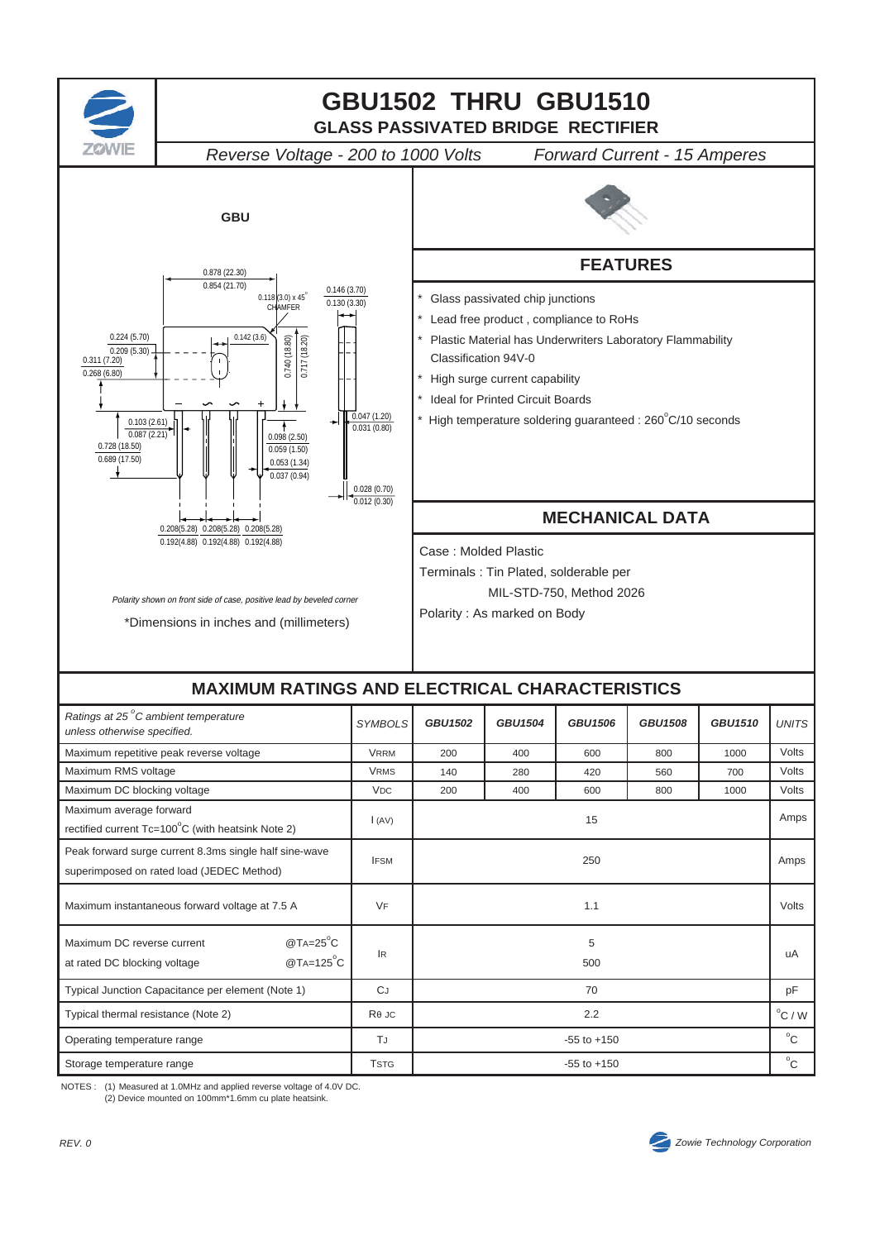

NOTES : (1) Measured at 1.0MHz and applied reverse voltage of 4.0V DC. (2) Device mounted on 100mm\*1.6mm cu plate heatsink.